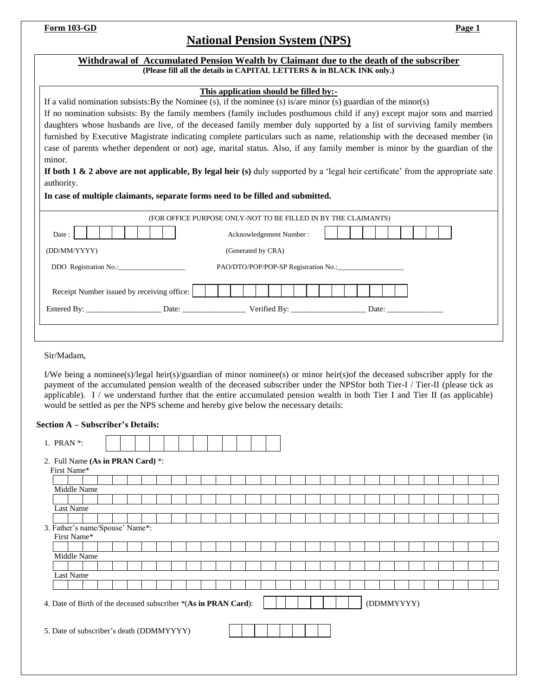# **National Pension System (NPS)**

| This application should be filled by:-<br>If a valid nomination subsists: By the Nominee (s), if the nominee (s) is/are minor (s) guardian of the minor(s)                                                                                                                                                                                                                                                                                                                                                                                                                                                                           |  |  |  |  |  |                                                                |  |  |                    |                         |  |  |  |            |  |  |  |
|--------------------------------------------------------------------------------------------------------------------------------------------------------------------------------------------------------------------------------------------------------------------------------------------------------------------------------------------------------------------------------------------------------------------------------------------------------------------------------------------------------------------------------------------------------------------------------------------------------------------------------------|--|--|--|--|--|----------------------------------------------------------------|--|--|--------------------|-------------------------|--|--|--|------------|--|--|--|
|                                                                                                                                                                                                                                                                                                                                                                                                                                                                                                                                                                                                                                      |  |  |  |  |  |                                                                |  |  |                    |                         |  |  |  |            |  |  |  |
| If no nomination subsists: By the family members (family includes posthumous child if any) except major sons and married                                                                                                                                                                                                                                                                                                                                                                                                                                                                                                             |  |  |  |  |  |                                                                |  |  |                    |                         |  |  |  |            |  |  |  |
| daughters whose husbands are live, of the deceased family member duly supported by a list of surviving family members<br>furnished by Executive Magistrate indicating complete particulars such as name, relationship with the deceased member (in                                                                                                                                                                                                                                                                                                                                                                                   |  |  |  |  |  |                                                                |  |  |                    |                         |  |  |  |            |  |  |  |
| case of parents whether dependent or not) age, marital status. Also, if any family member is minor by the guardian of the                                                                                                                                                                                                                                                                                                                                                                                                                                                                                                            |  |  |  |  |  |                                                                |  |  |                    |                         |  |  |  |            |  |  |  |
| minor.                                                                                                                                                                                                                                                                                                                                                                                                                                                                                                                                                                                                                               |  |  |  |  |  |                                                                |  |  |                    |                         |  |  |  |            |  |  |  |
| If both 1 $\&$ 2 above are not applicable, By legal heir (s) duly supported by a 'legal heir certificate' from the appropriate sate                                                                                                                                                                                                                                                                                                                                                                                                                                                                                                  |  |  |  |  |  |                                                                |  |  |                    |                         |  |  |  |            |  |  |  |
| authority.                                                                                                                                                                                                                                                                                                                                                                                                                                                                                                                                                                                                                           |  |  |  |  |  |                                                                |  |  |                    |                         |  |  |  |            |  |  |  |
| In case of multiple claimants, separate forms need to be filled and submitted.                                                                                                                                                                                                                                                                                                                                                                                                                                                                                                                                                       |  |  |  |  |  |                                                                |  |  |                    |                         |  |  |  |            |  |  |  |
|                                                                                                                                                                                                                                                                                                                                                                                                                                                                                                                                                                                                                                      |  |  |  |  |  | (FOR OFFICE PURPOSE ONLY-NOT TO BE FILLED IN BY THE CLAIMANTS) |  |  |                    |                         |  |  |  |            |  |  |  |
| Date:                                                                                                                                                                                                                                                                                                                                                                                                                                                                                                                                                                                                                                |  |  |  |  |  |                                                                |  |  |                    | Acknowledgement Number: |  |  |  |            |  |  |  |
| (DD/MM/YYYY)                                                                                                                                                                                                                                                                                                                                                                                                                                                                                                                                                                                                                         |  |  |  |  |  |                                                                |  |  | (Generated by CRA) |                         |  |  |  |            |  |  |  |
|                                                                                                                                                                                                                                                                                                                                                                                                                                                                                                                                                                                                                                      |  |  |  |  |  |                                                                |  |  |                    |                         |  |  |  |            |  |  |  |
| Receipt Number issued by receiving office:                                                                                                                                                                                                                                                                                                                                                                                                                                                                                                                                                                                           |  |  |  |  |  |                                                                |  |  |                    |                         |  |  |  |            |  |  |  |
|                                                                                                                                                                                                                                                                                                                                                                                                                                                                                                                                                                                                                                      |  |  |  |  |  |                                                                |  |  |                    |                         |  |  |  |            |  |  |  |
|                                                                                                                                                                                                                                                                                                                                                                                                                                                                                                                                                                                                                                      |  |  |  |  |  |                                                                |  |  |                    |                         |  |  |  |            |  |  |  |
|                                                                                                                                                                                                                                                                                                                                                                                                                                                                                                                                                                                                                                      |  |  |  |  |  |                                                                |  |  |                    |                         |  |  |  |            |  |  |  |
|                                                                                                                                                                                                                                                                                                                                                                                                                                                                                                                                                                                                                                      |  |  |  |  |  |                                                                |  |  |                    |                         |  |  |  |            |  |  |  |
|                                                                                                                                                                                                                                                                                                                                                                                                                                                                                                                                                                                                                                      |  |  |  |  |  |                                                                |  |  |                    |                         |  |  |  |            |  |  |  |
|                                                                                                                                                                                                                                                                                                                                                                                                                                                                                                                                                                                                                                      |  |  |  |  |  |                                                                |  |  |                    |                         |  |  |  |            |  |  |  |
|                                                                                                                                                                                                                                                                                                                                                                                                                                                                                                                                                                                                                                      |  |  |  |  |  |                                                                |  |  |                    |                         |  |  |  |            |  |  |  |
|                                                                                                                                                                                                                                                                                                                                                                                                                                                                                                                                                                                                                                      |  |  |  |  |  |                                                                |  |  |                    |                         |  |  |  |            |  |  |  |
| First Name*<br>Middle Name                                                                                                                                                                                                                                                                                                                                                                                                                                                                                                                                                                                                           |  |  |  |  |  |                                                                |  |  |                    |                         |  |  |  |            |  |  |  |
| Last Name                                                                                                                                                                                                                                                                                                                                                                                                                                                                                                                                                                                                                            |  |  |  |  |  |                                                                |  |  |                    |                         |  |  |  |            |  |  |  |
|                                                                                                                                                                                                                                                                                                                                                                                                                                                                                                                                                                                                                                      |  |  |  |  |  |                                                                |  |  |                    |                         |  |  |  |            |  |  |  |
| First Name*                                                                                                                                                                                                                                                                                                                                                                                                                                                                                                                                                                                                                          |  |  |  |  |  |                                                                |  |  |                    |                         |  |  |  |            |  |  |  |
|                                                                                                                                                                                                                                                                                                                                                                                                                                                                                                                                                                                                                                      |  |  |  |  |  |                                                                |  |  |                    |                         |  |  |  |            |  |  |  |
| Middle Name                                                                                                                                                                                                                                                                                                                                                                                                                                                                                                                                                                                                                          |  |  |  |  |  |                                                                |  |  |                    |                         |  |  |  |            |  |  |  |
| Last Name                                                                                                                                                                                                                                                                                                                                                                                                                                                                                                                                                                                                                            |  |  |  |  |  |                                                                |  |  |                    |                         |  |  |  |            |  |  |  |
| Sir/Madam,<br>I/We being a nominee(s)/legal heir(s)/guardian of minor nominee(s) or minor heir(s) of the deceased subscriber apply for the<br>payment of the accumulated pension wealth of the deceased subscriber under the NPSfor both Tier-I / Tier-II (please tick as<br>applicable). $I /$ we understand further that the entire accumulated pension wealth in both Tier I and Tier II (as applicable)<br>would be settled as per the NPS scheme and hereby give below the necessary details:<br><b>Section A – Subscriber's Details:</b><br>1. PRAN *:<br>2. Full Name (As in PRAN Card) *:<br>3. Father's name/Spouse' Name*: |  |  |  |  |  |                                                                |  |  |                    |                         |  |  |  |            |  |  |  |
| 4. Date of Birth of the deceased subscriber *(As in PRAN Card):                                                                                                                                                                                                                                                                                                                                                                                                                                                                                                                                                                      |  |  |  |  |  |                                                                |  |  |                    |                         |  |  |  | (DDMMYYYY) |  |  |  |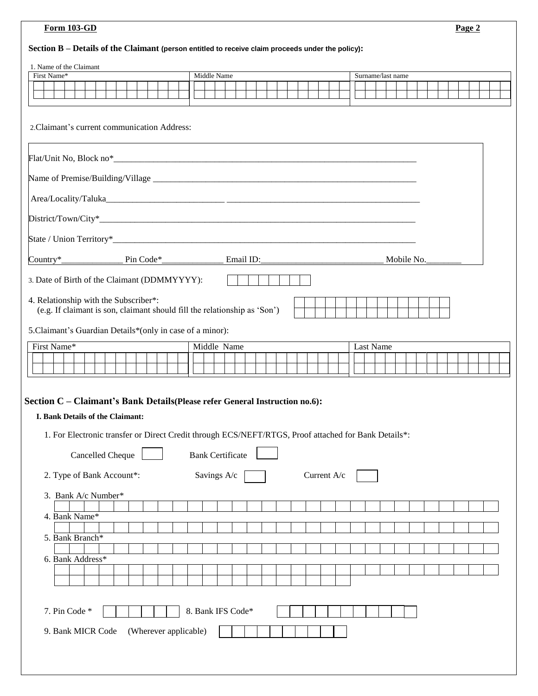# **Section B – Details of the Claimant (person entitled to receive claim proceeds under the policy):**

| 1. Name of the Claimant<br>First Name*                                                                                                                                                                                                                        |                       |  |                   | Middle Name |  |  |  |             |  | Surname/last name |  |  |  |  |  |
|---------------------------------------------------------------------------------------------------------------------------------------------------------------------------------------------------------------------------------------------------------------|-----------------------|--|-------------------|-------------|--|--|--|-------------|--|-------------------|--|--|--|--|--|
|                                                                                                                                                                                                                                                               |                       |  |                   |             |  |  |  |             |  |                   |  |  |  |  |  |
|                                                                                                                                                                                                                                                               |                       |  |                   |             |  |  |  |             |  |                   |  |  |  |  |  |
| 2. Claimant's current communication Address:                                                                                                                                                                                                                  |                       |  |                   |             |  |  |  |             |  |                   |  |  |  |  |  |
|                                                                                                                                                                                                                                                               |                       |  |                   |             |  |  |  |             |  |                   |  |  |  |  |  |
|                                                                                                                                                                                                                                                               |                       |  |                   |             |  |  |  |             |  |                   |  |  |  |  |  |
|                                                                                                                                                                                                                                                               |                       |  |                   |             |  |  |  |             |  |                   |  |  |  |  |  |
|                                                                                                                                                                                                                                                               |                       |  |                   |             |  |  |  |             |  |                   |  |  |  |  |  |
|                                                                                                                                                                                                                                                               |                       |  |                   |             |  |  |  |             |  |                   |  |  |  |  |  |
|                                                                                                                                                                                                                                                               |                       |  |                   |             |  |  |  |             |  |                   |  |  |  |  |  |
| 3. Date of Birth of the Claimant (DDMMYYYY):                                                                                                                                                                                                                  |                       |  |                   |             |  |  |  |             |  |                   |  |  |  |  |  |
| 4. Relationship with the Subscriber*:<br>(e.g. If claimant is son, claimant should fill the relationship as 'Son')                                                                                                                                            |                       |  |                   |             |  |  |  |             |  |                   |  |  |  |  |  |
| 5. Claimant's Guardian Details*(only in case of a minor):                                                                                                                                                                                                     |                       |  |                   |             |  |  |  |             |  |                   |  |  |  |  |  |
| First Name*                                                                                                                                                                                                                                                   |                       |  |                   | Middle Name |  |  |  |             |  | Last Name         |  |  |  |  |  |
|                                                                                                                                                                                                                                                               |                       |  |                   |             |  |  |  |             |  |                   |  |  |  |  |  |
| Section C - Claimant's Bank Details (Please refer General Instruction no.6):<br>I. Bank Details of the Claimant:<br>1. For Electronic transfer or Direct Credit through ECS/NEFT/RTGS, Proof attached for Bank Details*:<br>Cancelled Cheque Bank Certificate |                       |  |                   |             |  |  |  |             |  |                   |  |  |  |  |  |
| 2. Type of Bank Account*:<br>3. Bank A/c Number*                                                                                                                                                                                                              |                       |  |                   | Savings A/c |  |  |  | Current A/c |  |                   |  |  |  |  |  |
|                                                                                                                                                                                                                                                               |                       |  |                   |             |  |  |  |             |  |                   |  |  |  |  |  |
| 4. Bank Name*                                                                                                                                                                                                                                                 |                       |  |                   |             |  |  |  |             |  |                   |  |  |  |  |  |
| 5. Bank Branch*                                                                                                                                                                                                                                               |                       |  |                   |             |  |  |  |             |  |                   |  |  |  |  |  |
|                                                                                                                                                                                                                                                               |                       |  |                   |             |  |  |  |             |  |                   |  |  |  |  |  |
| 6. Bank Address*                                                                                                                                                                                                                                              |                       |  |                   |             |  |  |  |             |  |                   |  |  |  |  |  |
|                                                                                                                                                                                                                                                               |                       |  |                   |             |  |  |  |             |  |                   |  |  |  |  |  |
| 7. Pin Code *                                                                                                                                                                                                                                                 |                       |  | 8. Bank IFS Code* |             |  |  |  |             |  |                   |  |  |  |  |  |
| 9. Bank MICR Code                                                                                                                                                                                                                                             | (Wherever applicable) |  |                   |             |  |  |  |             |  |                   |  |  |  |  |  |
|                                                                                                                                                                                                                                                               |                       |  |                   |             |  |  |  |             |  |                   |  |  |  |  |  |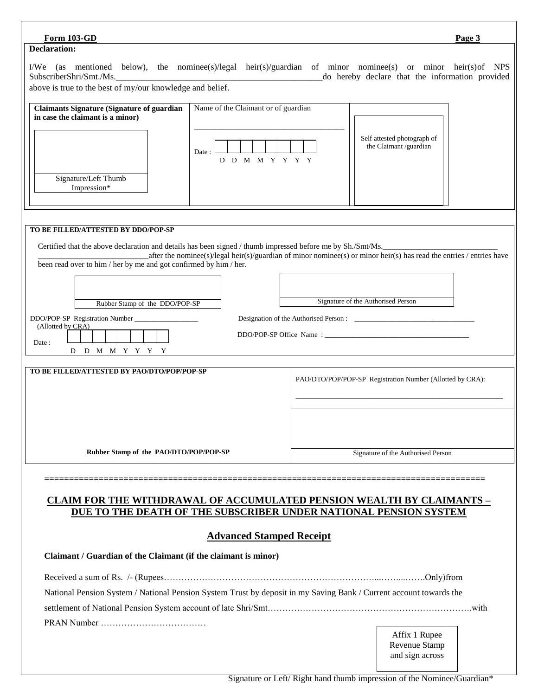# Affix 1 Rupee Revenue Stamp **Form 103-GD Page 3** ========================================================================================= **CLAIM FOR THE WITHDRAWAL OF ACCUMULATED PENSION WEALTH BY CLAIMANTS – DUE TO THE DEATH OF THE SUBSCRIBER UNDER NATIONAL PENSION SYSTEM Advanced Stamped Receipt Claimant / Guardian of the Claimant (if the claimant is minor)** Received a sum of Rs. /- (Rupees………………………………………………………………...……...…….Only)from National Pension System / National Pension System Trust by deposit in my Saving Bank / Current account towards the settlement of National Pension System account of late Shri/Smt…………………………………………………………….with PRAN Number ……………………………… **Declaration:** I/We (as mentioned below), the nominee(s)/legal heir(s)/guardian of minor nominee(s) or minor heir(s)of NPS SubscriberShri/Smt./Ms.\_\_\_\_\_\_\_\_\_\_\_\_\_\_\_\_\_\_\_\_\_\_\_\_\_\_\_\_\_\_\_\_\_\_\_\_\_\_\_\_\_\_\_\_\_\_\_do hereby declare that the information provided above is true to the best of my/our knowledge and belief. Signature/Left Thumb Impression\* **Claimants Signature (Signature of guardian in case the claimant is a minor)** Name of the Claimant or of guardian \_\_\_\_\_\_\_\_\_\_\_\_\_\_\_\_\_\_\_\_\_\_\_\_\_\_\_\_\_\_\_\_\_\_\_\_\_\_ Date : D D M M Y Y Y Y Self attested photograph of the Claimant /guardian **TO BE FILLED/ATTESTED BY DDO/POP-SP** Certified that the above declaration and details has been signed / thumb impressed before me by Sh./Smt/Ms. \_after the nominee(s)/legal heir(s)/guardian of minor nominee(s) or minor heir(s) has read the entries / entries have been read over to him / her by me and got confirmed by him / her. Rubber Stamp of the DDO/POP-SP Signature of the Authorised Person DDO/POP-SP Registration Number \_\_\_\_\_\_\_\_\_\_\_\_\_\_\_\_\_\_ Designation of the Authorised Person : \_\_\_\_\_\_\_\_\_\_\_\_\_\_\_\_\_\_\_\_\_\_\_\_\_\_\_\_\_\_\_\_\_\_ (Allotted by CRA) DDO/POP-SP Office Name : Date : D D M M Y Y Y Y **TO BE FILLED/ATTESTED BY PAO/DTO/POP/POP-SP Rubber Stamp of the PAO/DTO/POP/POP-SP** PAO/DTO/POP/POP-SP Registration Number (Allotted by CRA): \_\_\_\_\_\_\_\_\_\_\_\_\_\_\_\_\_\_\_\_\_\_\_\_\_\_\_\_\_\_\_\_\_\_\_\_\_\_\_\_\_\_\_\_\_\_\_\_\_\_\_\_\_\_\_\_\_\_\_ Signature of the Authorised Person

and sign across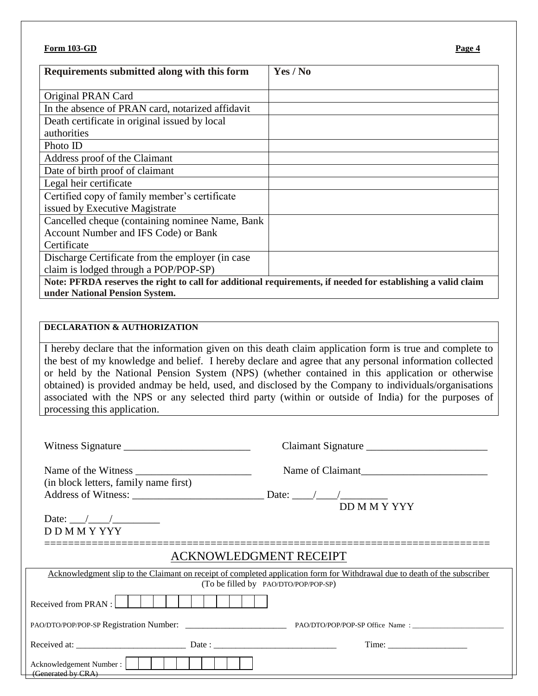| Requirements submitted along with this form                                                                  | Yes / No |
|--------------------------------------------------------------------------------------------------------------|----------|
|                                                                                                              |          |
| Original PRAN Card                                                                                           |          |
| In the absence of PRAN card, notarized affidavit                                                             |          |
| Death certificate in original issued by local                                                                |          |
| authorities                                                                                                  |          |
| Photo ID                                                                                                     |          |
| Address proof of the Claimant                                                                                |          |
| Date of birth proof of claimant                                                                              |          |
| Legal heir certificate                                                                                       |          |
| Certified copy of family member's certificate                                                                |          |
| issued by Executive Magistrate                                                                               |          |
| Cancelled cheque (containing nominee Name, Bank                                                              |          |
| Account Number and IFS Code) or Bank                                                                         |          |
| Certificate                                                                                                  |          |
| Discharge Certificate from the employer (in case                                                             |          |
| claim is lodged through a POP/POP-SP)                                                                        |          |
| Note: PFRDA reserves the right to call for additional requirements, if needed for establishing a valid claim |          |

**under National Pension System.**

## **DECLARATION & AUTHORIZATION**

I hereby declare that the information given on this death claim application form is true and complete to the best of my knowledge and belief. I hereby declare and agree that any personal information collected or held by the National Pension System (NPS) (whether contained in this application or otherwise obtained) is provided andmay be held, used, and disclosed by the Company to individuals/organisations associated with the NPS or any selected third party (within or outside of India) for the purposes of processing this application.

|                                                                       |                               | Claimant Signature                                                                                                                                                 |
|-----------------------------------------------------------------------|-------------------------------|--------------------------------------------------------------------------------------------------------------------------------------------------------------------|
|                                                                       |                               | Name of Claimant                                                                                                                                                   |
| (in block letters, family name first)                                 |                               |                                                                                                                                                                    |
|                                                                       |                               | DD M M Y YYY                                                                                                                                                       |
|                                                                       |                               |                                                                                                                                                                    |
| D D M M Y YYY                                                         |                               |                                                                                                                                                                    |
|                                                                       | <b>ACKNOWLEDGMENT RECEIPT</b> |                                                                                                                                                                    |
|                                                                       |                               | Acknowledgment slip to the Claimant on receipt of completed application form for Withdrawal due to death of the subscriber<br>(To be filled by PAO/DTO/POP/POP-SP) |
| Received from PRAN : $\Box$ $\Box$ $\Box$ $\Box$ $\Box$ $\Box$ $\Box$ |                               |                                                                                                                                                                    |
|                                                                       |                               |                                                                                                                                                                    |
|                                                                       |                               | Time:                                                                                                                                                              |
| (Generated by CRA)                                                    |                               |                                                                                                                                                                    |